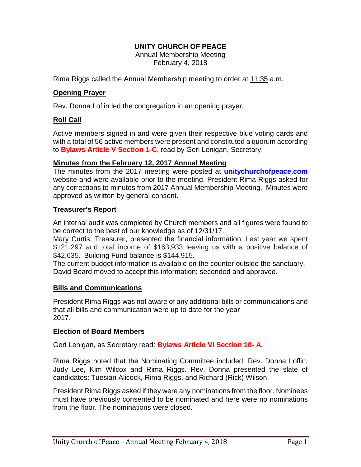# **UNITY CHURCH OF PEACE**

Annual Membership Meeting February 4, 2018

Rima Riggs called the Annual Membership meeting to order at 11:35 a.m.

# **Opening Prayer**

Rev. Donna Loflin led the congregation in an opening prayer.

# **Roll Call**

Active members signed in and were given their respective blue voting cards and with a total of 56 active members were present and constituted a quorum according to **Bylaws Article V Section 1-C,** read by Geri Lenigan, Secretary.

### **Minutes from the February 12, 2017 Annual Meeting**

The minutes from the 2017 meeting were posted at **unitychurchofpeace.com** website and were available prior to the meeting. President Rima Riggs asked for any corrections to minutes from 2017 Annual Membership Meeting. Minutes were approved as written by general consent.

### **Treasurer's Report**

An internal audit was completed by Church members and all figures were found to be correct to the best of our knowledge as of 12/31/17.

Mary Curtis, Treasurer, presented the financial information. Last year we spent \$121,297 and total income of \$163,933 leaving us with a positive balance of \$42,635. Building Fund balance is \$144,915.

The current budget information is available on the counter outside the sanctuary. David Beard moved to accept this information; seconded and approved.

# **Bills and Communications**

President Rima Riggs was not aware of any additional bills or communications and that all bills and communication were up to date for the year 2017.

### **Election of Board Members**

Geri Lenigan, as Secretary read: **Bylaws Article VI Section 10- A.**

Rima Riggs noted that the Nominating Committee included: Rev. Donna Loflin, Judy Lee, Kim Wilcox and Rima Riggs. Rev. Donna presented the slate of candidates: Tuesian Alicock, Rima Riggs, and Richard (Rick) Wilson.

President Rima Riggs asked if they were any nominations from the floor. Nominees must have previously consented to be nominated and here were no nominations from the floor. The nominations were closed.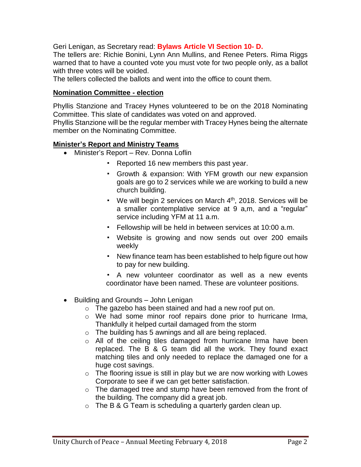Geri Lenigan, as Secretary read: **Bylaws Article VI Section 10- D.**

The tellers are: Richie Bonini, Lynn Ann Mullins, and Renee Peters. Rima Riggs warned that to have a counted vote you must vote for two people only, as a ballot with three votes will be voided.

The tellers collected the ballots and went into the office to count them.

#### **Nomination Committee - election**

Phyllis Stanzione and Tracey Hynes volunteered to be on the 2018 Nominating Committee. This slate of candidates was voted on and approved.

Phyllis Stanzione will be the regular member with Tracey Hynes being the alternate member on the Nominating Committee.

#### **Minister's Report and Ministry Teams**

- Minister's Report Rev. Donna Loflin
	- Reported 16 new members this past year.
	- Growth & expansion: With YFM growth our new expansion goals are go to 2 services while we are working to build a new church building.
	- We will begin 2 services on March 4<sup>th</sup>, 2018. Services will be a smaller contemplative service at 9 a,m, and a "regular" service including YFM at 11 a.m.
	- Fellowship will be held in between services at 10:00 a.m.
	- Website is growing and now sends out over 200 emails weekly
	- New finance team has been established to help figure out how to pay for new building.
	- A new volunteer coordinator as well as a new events coordinator have been named. These are volunteer positions.
- $\bullet$  Building and Grounds John Lenigan
	- o The gazebo has been stained and had a new roof put on.
	- o We had some minor roof repairs done prior to hurricane Irma, Thankfully it helped curtail damaged from the storm
	- o The building has 5 awnings and all are being replaced.
	- o All of the ceiling tiles damaged from hurricane Irma have been replaced. The B & G team did all the work. They found exact matching tiles and only needed to replace the damaged one for a huge cost savings.
	- $\circ$  The flooring issue is still in play but we are now working with Lowes Corporate to see if we can get better satisfaction.
	- o The damaged tree and stump have been removed from the front of the building. The company did a great job.
	- $\circ$  The B & G Team is scheduling a quarterly garden clean up.